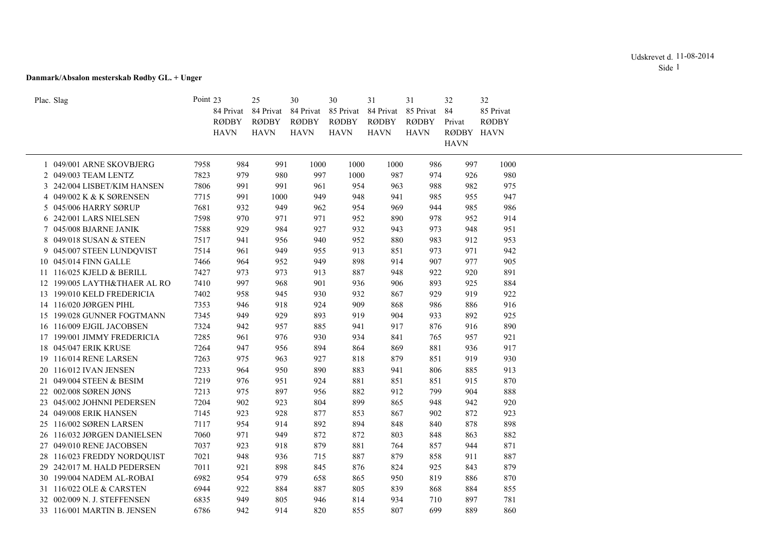# **Danmark/Absalon mesterskab Rødby GL. + Unger**

| Plac. Slag                   | Point 23 | 84 Privat                   | 25<br>84 Privat      | 30<br>84 Privat      | 30<br>85 Privat      | 31<br>84 Privat      | 31<br>85 Privat             | 32<br>84             | 32<br>85 Privat |
|------------------------------|----------|-----------------------------|----------------------|----------------------|----------------------|----------------------|-----------------------------|----------------------|-----------------|
|                              |          | <b>RØDBY</b><br><b>HAVN</b> | RØDBY<br><b>HAVN</b> | RØDBY<br><b>HAVN</b> | RØDBY<br><b>HAVN</b> | RØDBY<br><b>HAVN</b> | <b>RØDBY</b><br><b>HAVN</b> | Privat<br>RØDBY HAVN | <b>RØDBY</b>    |
|                              |          |                             |                      |                      |                      |                      |                             | <b>HAVN</b>          |                 |
| 1 049/001 ARNE SKOVBJERG     | 7958     | 984                         | 991                  | 1000                 | 1000                 | 1000                 | 986                         | 997                  | 1000            |
| 2 049/003 TEAM LENTZ         | 7823     | 979                         | 980                  | 997                  | 1000                 | 987                  | 974                         | 926                  | 980             |
| 3 242/004 LISBET/KIM HANSEN  | 7806     | 991                         | 991                  | 961                  | 954                  | 963                  | 988                         | 982                  | 975             |
| 4 049/002 K & K SØRENSEN     | 7715     | 991                         | 1000                 | 949                  | 948                  | 941                  | 985                         | 955                  | 947             |
| 5 045/006 HARRY SØRUP        | 7681     | 932                         | 949                  | 962                  | 954                  | 969                  | 944                         | 985                  | 986             |
| 6 242/001 LARS NIELSEN       | 7598     | 970                         | 971                  | 971                  | 952                  | 890                  | 978                         | 952                  | 914             |
| 7 045/008 BJARNE JANIK       | 7588     | 929                         | 984                  | 927                  | 932                  | 943                  | 973                         | 948                  | 951             |
| 8 049/018 SUSAN & STEEN      | 7517     | 941                         | 956                  | 940                  | 952                  | 880                  | 983                         | 912                  | 953             |
| 9 045/007 STEEN LUNDQVIST    | 7514     | 961                         | 949                  | 955                  | 913                  | 851                  | 973                         | 971                  | 942             |
| 10 045/014 FINN GALLE        | 7466     | 964                         | 952                  | 949                  | 898                  | 914                  | 907                         | 977                  | 905             |
| 11 116/025 KJELD & BERILL    | 7427     | 973                         | 973                  | 913                  | 887                  | 948                  | 922                         | 920                  | 891             |
| 12 199/005 LAYTH&THAER AL RO | 7410     | 997                         | 968                  | 901                  | 936                  | 906                  | 893                         | 925                  | 884             |
| 13 199/010 KELD FREDERICIA   | 7402     | 958                         | 945                  | 930                  | 932                  | 867                  | 929                         | 919                  | 922             |
| 14 116/020 JØRGEN PIHL       | 7353     | 946                         | 918                  | 924                  | 909                  | 868                  | 986                         | 886                  | 916             |
| 15 199/028 GUNNER FOGTMANN   | 7345     | 949                         | 929                  | 893                  | 919                  | 904                  | 933                         | 892                  | 925             |
| 16 116/009 EJGIL JACOBSEN    | 7324     | 942                         | 957                  | 885                  | 941                  | 917                  | 876                         | 916                  | 890             |
| 17 199/001 JIMMY FREDERICIA  | 7285     | 961                         | 976                  | 930                  | 934                  | 841                  | 765                         | 957                  | 921             |
| 18 045/047 ERIK KRUSE        | 7264     | 947                         | 956                  | 894                  | 864                  | 869                  | 881                         | 936                  | 917             |
| 19 116/014 RENE LARSEN       | 7263     | 975                         | 963                  | 927                  | 818                  | 879                  | 851                         | 919                  | 930             |
| 20 116/012 IVAN JENSEN       | 7233     | 964                         | 950                  | 890                  | 883                  | 941                  | 806                         | 885                  | 913             |
| 21 049/004 STEEN & BESIM     | 7219     | 976                         | 951                  | 924                  | 881                  | 851                  | 851                         | 915                  | 870             |
| 22 002/008 SØREN JØNS        | 7213     | 975                         | 897                  | 956                  | 882                  | 912                  | 799                         | 904                  | 888             |
| 23 045/002 JOHNNI PEDERSEN   | 7204     | 902                         | 923                  | 804                  | 899                  | 865                  | 948                         | 942                  | 920             |
| 24 049/008 ERIK HANSEN       | 7145     | 923                         | 928                  | 877                  | 853                  | 867                  | 902                         | 872                  | 923             |
| 25 116/002 SØREN LARSEN      | 7117     | 954                         | 914                  | 892                  | 894                  | 848                  | 840                         | 878                  | 898             |
| 26 116/032 JØRGEN DANIELSEN  | 7060     | 971                         | 949                  | 872                  | 872                  | 803                  | 848                         | 863                  | 882             |
| 27 049/010 RENE JACOBSEN     | 7037     | 923                         | 918                  | 879                  | 881                  | 764                  | 857                         | 944                  | 871             |
| 28 116/023 FREDDY NORDQUIST  | 7021     | 948                         | 936                  | 715                  | 887                  | 879                  | 858                         | 911                  | 887             |
| 29 242/017 M. HALD PEDERSEN  | 7011     | 921                         | 898                  | 845                  | 876                  | 824                  | 925                         | 843                  | 879             |
| 30 199/004 NADEM AL-ROBAI    | 6982     | 954                         | 979                  | 658                  | 865                  | 950                  | 819                         | 886                  | 870             |
| 31 116/022 OLE & CARSTEN     | 6944     | 922                         | 884                  | 887                  | 805                  | 839                  | 868                         | 884                  | 855             |
| 32 002/009 N. J. STEFFENSEN  | 6835     | 949                         | 805                  | 946                  | 814                  | 934                  | 710                         | 897                  | 781             |
| 33 116/001 MARTIN B. JENSEN  | 6786     | 942                         | 914                  | 820                  | 855                  | 807                  | 699                         | 889                  | 860             |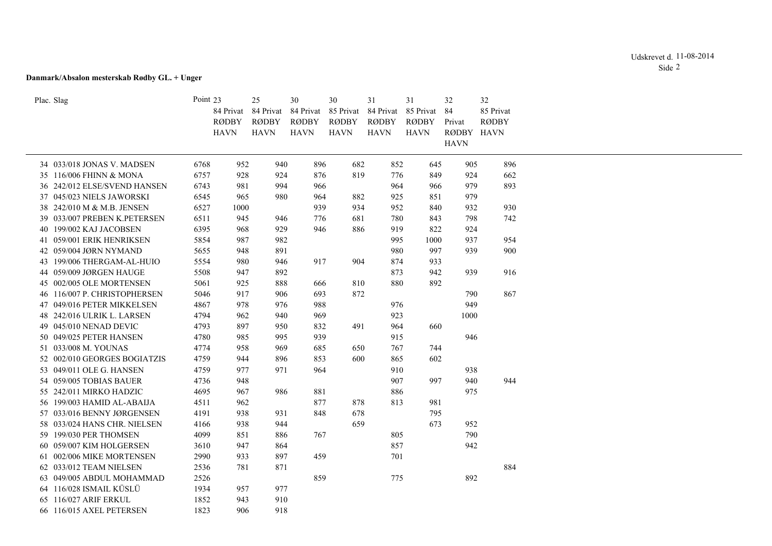# Udskrevet d. 11-08-2014 Side 2

# **Danmark/Absalon mesterskab Rødby GL. + Unger**

| Plac. Slag                   | Point 23 |              | 25           | 30           | 30           | 31           | 31           | 32          | 32           |
|------------------------------|----------|--------------|--------------|--------------|--------------|--------------|--------------|-------------|--------------|
|                              |          | 84 Privat    | 84 Privat    | 84 Privat    | 85 Privat    | 84 Privat    | 85 Privat    | 84          | 85 Privat    |
|                              |          | <b>RØDBY</b> | <b>RØDBY</b> | <b>RØDBY</b> | <b>RØDBY</b> | <b>RØDBY</b> | <b>RØDBY</b> | Privat      | <b>RØDBY</b> |
|                              |          | <b>HAVN</b>  | <b>HAVN</b>  | <b>HAVN</b>  | <b>HAVN</b>  | <b>HAVN</b>  | <b>HAVN</b>  | RØDBY HAVN  |              |
|                              |          |              |              |              |              |              |              | <b>HAVN</b> |              |
| 34 033/018 JONAS V. MADSEN   | 6768     | 952          | 940          | 896          | 682          | 852          | 645          | 905         | 896          |
| 35 116/006 FHINN & MONA      | 6757     | 928          | 924          | 876          | 819          | 776          | 849          | 924         | 662          |
| 36 242/012 ELSE/SVEND HANSEN | 6743     | 981          | 994          | 966          |              | 964          | 966          | 979         | 893          |
| 37 045/023 NIELS JAWORSKI    | 6545     | 965          | 980          | 964          | 882          | 925          | 851          | 979         |              |
| 38 242/010 M & M.B. JENSEN   | 6527     | 1000         |              | 939          | 934          | 952          | 840          | 932         | 930          |
| 39 033/007 PREBEN K.PETERSEN | 6511     | 945          | 946          | 776          | 681          | 780          | 843          | 798         | 742          |
| 40 199/002 KAJ JACOBSEN      | 6395     | 968          | 929          | 946          | 886          | 919          | 822          | 924         |              |
| 41 059/001 ERIK HENRIKSEN    | 5854     | 987          | 982          |              |              | 995          | 1000         | 937         | 954          |
| 42 059/004 JØRN NYMAND       | 5655     | 948          | 891          |              |              | 980          | 997          | 939         | 900          |
| 43 199/006 THERGAM-AL-HUIO   | 5554     | 980          | 946          | 917          | 904          | 874          | 933          |             |              |
| 44 059/009 JØRGEN HAUGE      | 5508     | 947          | 892          |              |              | 873          | 942          | 939         | 916          |
| 45 002/005 OLE MORTENSEN     | 5061     | 925          | 888          | 666          | 810          | 880          | 892          |             |              |
| 46 116/007 P. CHRISTOPHERSEN | 5046     | 917          | 906          | 693          | 872          |              |              | 790         | 867          |
| 47 049/016 PETER MIKKELSEN   | 4867     | 978          | 976          | 988          |              | 976          |              | 949         |              |
| 48 242/016 ULRIK L. LARSEN   | 4794     | 962          | 940          | 969          |              | 923          |              | 1000        |              |
| 49 045/010 NENAD DEVIC       | 4793     | 897          | 950          | 832          | 491          | 964          | 660          |             |              |
| 50 049/025 PETER HANSEN      | 4780     | 985          | 995          | 939          |              | 915          |              | 946         |              |
| 51 033/008 M. YOUNAS         | 4774     | 958          | 969          | 685          | 650          | 767          | 744          |             |              |
| 52 002/010 GEORGES BOGIATZIS | 4759     | 944          | 896          | 853          | 600          | 865          | 602          |             |              |
| 53 049/011 OLE G. HANSEN     | 4759     | 977          | 971          | 964          |              | 910          |              | 938         |              |
| 54 059/005 TOBIAS BAUER      | 4736     | 948          |              |              |              | 907          | 997          | 940         | 944          |
| 55 242/011 MIRKO HADZIC      | 4695     | 967          | 986          | 881          |              | 886          |              | 975         |              |
| 56 199/003 HAMID AL-ABAIJA   | 4511     | 962          |              | 877          | 878          | 813          | 981          |             |              |
| 57 033/016 BENNY JØRGENSEN   | 4191     | 938          | 931          | 848          | 678          |              | 795          |             |              |
| 58 033/024 HANS CHR. NIELSEN | 4166     | 938          | 944          |              | 659          |              | 673          | 952         |              |
| 59 199/030 PER THOMSEN       | 4099     | 851          | 886          | 767          |              | 805          |              | 790         |              |
| 60 059/007 KIM HOLGERSEN     | 3610     | 947          | 864          |              |              | 857          |              | 942         |              |
| 61 002/006 MIKE MORTENSEN    | 2990     | 933          | 897          | 459          |              | 701          |              |             |              |
| 62 033/012 TEAM NIELSEN      | 2536     | 781          | 871          |              |              |              |              |             | 884          |
| 63 049/005 ABDUL MOHAMMAD    | 2526     |              |              | 859          |              | 775          |              | 892         |              |
| 64 116/028 ISMAIL KÜSLÜ      | 1934     | 957          | 977          |              |              |              |              |             |              |
| 116/027 ARIF ERKUL<br>65     | 1852     | 943          | 910          |              |              |              |              |             |              |
| 66 116/015 AXEL PETERSEN     | 1823     | 906          | 918          |              |              |              |              |             |              |